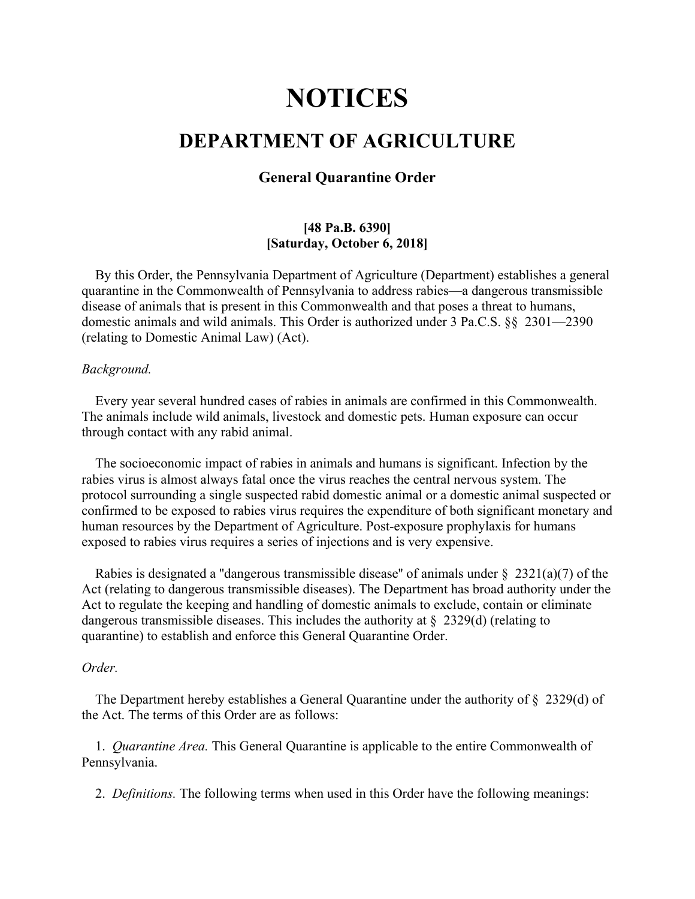# **NOTICES**

# **DEPARTMENT OF AGRICULTURE**

## **General Quarantine Order**

### **[48 Pa.B. 6390] [Saturday, October 6, 2018]**

By this Order, the Pennsylvania Department of Agriculture (Department) establishes a general quarantine in the Commonwealth of Pennsylvania to address rabies—a dangerous transmissible disease of animals that is present in this Commonwealth and that poses a threat to humans, domestic animals and wild animals. This Order is authorized under 3 Pa.C.S. §§ 2301—2390 (relating to Domestic Animal Law) (Act).

#### *Background.*

Every year several hundred cases of rabies in animals are confirmed in this Commonwealth. The animals include wild animals, livestock and domestic pets. Human exposure can occur through contact with any rabid animal.

The socioeconomic impact of rabies in animals and humans is significant. Infection by the rabies virus is almost always fatal once the virus reaches the central nervous system. The protocol surrounding a single suspected rabid domestic animal or a domestic animal suspected or confirmed to be exposed to rabies virus requires the expenditure of both significant monetary and human resources by the Department of Agriculture. Post-exposure prophylaxis for humans exposed to rabies virus requires a series of injections and is very expensive.

Rabies is designated a "dangerous transmissible disease" of animals under  $\S$  2321(a)(7) of the Act (relating to dangerous transmissible diseases). The Department has broad authority under the Act to regulate the keeping and handling of domestic animals to exclude, contain or eliminate dangerous transmissible diseases. This includes the authority at  $\S$  2329(d) (relating to quarantine) to establish and enforce this General Quarantine Order.

#### *Order.*

The Department hereby establishes a General Quarantine under the authority of § 2329(d) of the Act. The terms of this Order are as follows:

1. *Quarantine Area.* This General Quarantine is applicable to the entire Commonwealth of Pennsylvania.

2. *Definitions.* The following terms when used in this Order have the following meanings: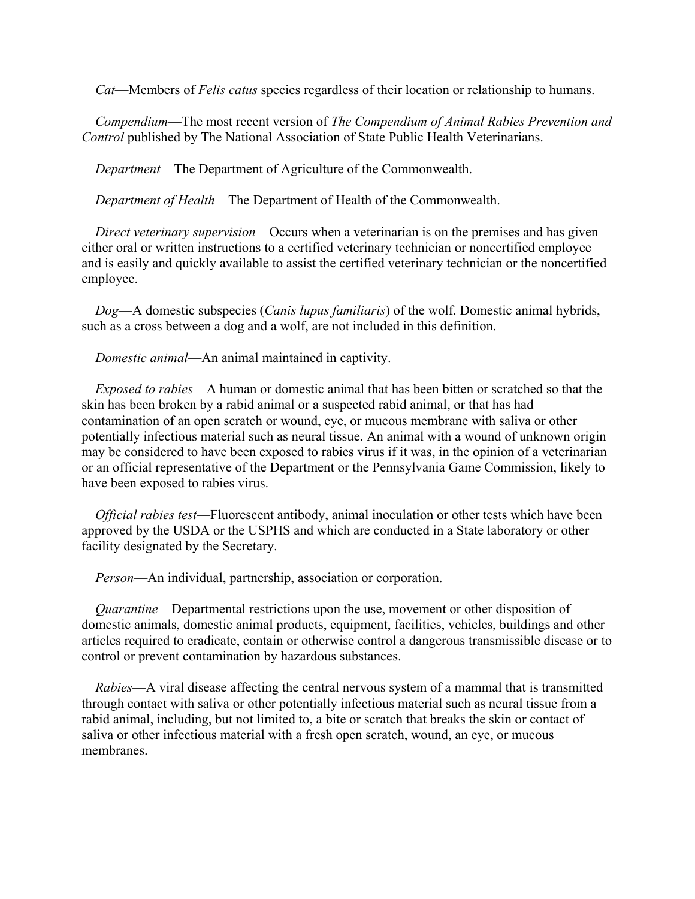*Cat*—Members of *Felis catus* species regardless of their location or relationship to humans.

*Compendium*—The most recent version of *The Compendium of Animal Rabies Prevention and Control* published by The National Association of State Public Health Veterinarians.

*Department*—The Department of Agriculture of the Commonwealth.

*Department of Health*—The Department of Health of the Commonwealth.

*Direct veterinary supervision*—Occurs when a veterinarian is on the premises and has given either oral or written instructions to a certified veterinary technician or noncertified employee and is easily and quickly available to assist the certified veterinary technician or the noncertified employee.

*Dog*—A domestic subspecies (*Canis lupus familiaris*) of the wolf. Domestic animal hybrids, such as a cross between a dog and a wolf, are not included in this definition.

*Domestic animal*—An animal maintained in captivity.

*Exposed to rabies*—A human or domestic animal that has been bitten or scratched so that the skin has been broken by a rabid animal or a suspected rabid animal, or that has had contamination of an open scratch or wound, eye, or mucous membrane with saliva or other potentially infectious material such as neural tissue. An animal with a wound of unknown origin may be considered to have been exposed to rabies virus if it was, in the opinion of a veterinarian or an official representative of the Department or the Pennsylvania Game Commission, likely to have been exposed to rabies virus.

*Official rabies test*—Fluorescent antibody, animal inoculation or other tests which have been approved by the USDA or the USPHS and which are conducted in a State laboratory or other facility designated by the Secretary.

*Person*—An individual, partnership, association or corporation.

*Quarantine*—Departmental restrictions upon the use, movement or other disposition of domestic animals, domestic animal products, equipment, facilities, vehicles, buildings and other articles required to eradicate, contain or otherwise control a dangerous transmissible disease or to control or prevent contamination by hazardous substances.

*Rabies*—A viral disease affecting the central nervous system of a mammal that is transmitted through contact with saliva or other potentially infectious material such as neural tissue from a rabid animal, including, but not limited to, a bite or scratch that breaks the skin or contact of saliva or other infectious material with a fresh open scratch, wound, an eye, or mucous membranes.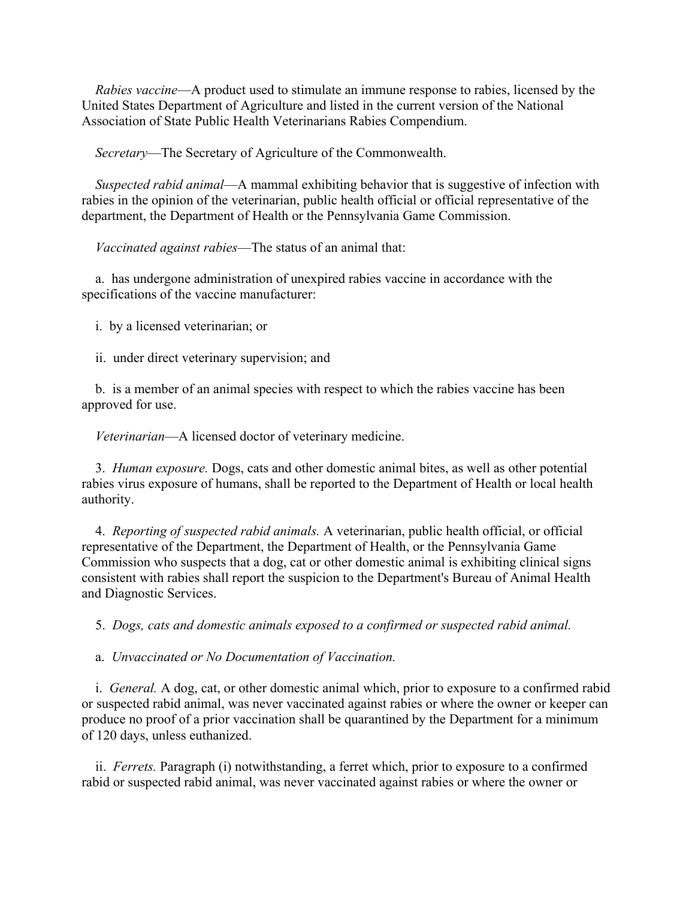*Rabies vaccine*—A product used to stimulate an immune response to rabies, licensed by the United States Department of Agriculture and listed in the current version of the National Association of State Public Health Veterinarians Rabies Compendium.

*Secretary*—The Secretary of Agriculture of the Commonwealth.

*Suspected rabid animal*—A mammal exhibiting behavior that is suggestive of infection with rabies in the opinion of the veterinarian, public health official or official representative of the department, the Department of Health or the Pennsylvania Game Commission.

*Vaccinated against rabies*—The status of an animal that:

a. has undergone administration of unexpired rabies vaccine in accordance with the specifications of the vaccine manufacturer:

i. by a licensed veterinarian; or

ii. under direct veterinary supervision; and

b. is a member of an animal species with respect to which the rabies vaccine has been approved for use.

*Veterinarian*—A licensed doctor of veterinary medicine.

3. *Human exposure.* Dogs, cats and other domestic animal bites, as well as other potential rabies virus exposure of humans, shall be reported to the Department of Health or local health authority.

4. *Reporting of suspected rabid animals.* A veterinarian, public health official, or official representative of the Department, the Department of Health, or the Pennsylvania Game Commission who suspects that a dog, cat or other domestic animal is exhibiting clinical signs consistent with rabies shall report the suspicion to the Department's Bureau of Animal Health and Diagnostic Services.

5. *Dogs, cats and domestic animals exposed to a confirmed or suspected rabid animal.*

a. *Unvaccinated or No Documentation of Vaccination.*

i. *General.* A dog, cat, or other domestic animal which, prior to exposure to a confirmed rabid or suspected rabid animal, was never vaccinated against rabies or where the owner or keeper can produce no proof of a prior vaccination shall be quarantined by the Department for a minimum of 120 days, unless euthanized.

ii. *Ferrets.* Paragraph (i) notwithstanding, a ferret which, prior to exposure to a confirmed rabid or suspected rabid animal, was never vaccinated against rabies or where the owner or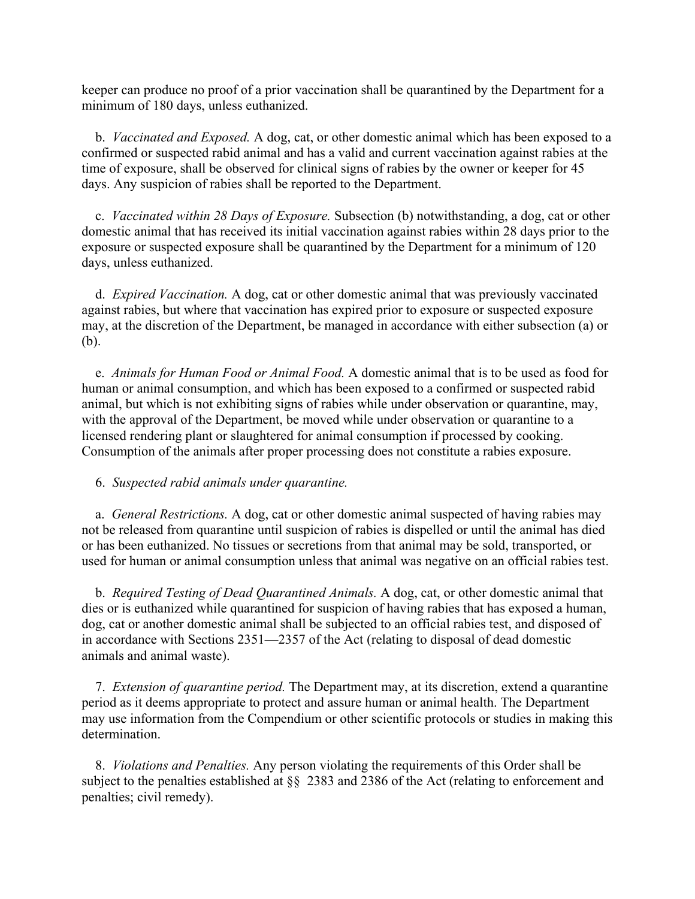keeper can produce no proof of a prior vaccination shall be quarantined by the Department for a minimum of 180 days, unless euthanized.

b. *Vaccinated and Exposed.* A dog, cat, or other domestic animal which has been exposed to a confirmed or suspected rabid animal and has a valid and current vaccination against rabies at the time of exposure, shall be observed for clinical signs of rabies by the owner or keeper for 45 days. Any suspicion of rabies shall be reported to the Department.

c. *Vaccinated within 28 Days of Exposure.* Subsection (b) notwithstanding, a dog, cat or other domestic animal that has received its initial vaccination against rabies within 28 days prior to the exposure or suspected exposure shall be quarantined by the Department for a minimum of 120 days, unless euthanized.

d. *Expired Vaccination.* A dog, cat or other domestic animal that was previously vaccinated against rabies, but where that vaccination has expired prior to exposure or suspected exposure may, at the discretion of the Department, be managed in accordance with either subsection (a) or (b).

e. *Animals for Human Food or Animal Food.* A domestic animal that is to be used as food for human or animal consumption, and which has been exposed to a confirmed or suspected rabid animal, but which is not exhibiting signs of rabies while under observation or quarantine, may, with the approval of the Department, be moved while under observation or quarantine to a licensed rendering plant or slaughtered for animal consumption if processed by cooking. Consumption of the animals after proper processing does not constitute a rabies exposure.

6. *Suspected rabid animals under quarantine.*

a. *General Restrictions.* A dog, cat or other domestic animal suspected of having rabies may not be released from quarantine until suspicion of rabies is dispelled or until the animal has died or has been euthanized. No tissues or secretions from that animal may be sold, transported, or used for human or animal consumption unless that animal was negative on an official rabies test.

b. *Required Testing of Dead Quarantined Animals.* A dog, cat, or other domestic animal that dies or is euthanized while quarantined for suspicion of having rabies that has exposed a human, dog, cat or another domestic animal shall be subjected to an official rabies test, and disposed of in accordance with Sections 2351—2357 of the Act (relating to disposal of dead domestic animals and animal waste).

7. *Extension of quarantine period.* The Department may, at its discretion, extend a quarantine period as it deems appropriate to protect and assure human or animal health. The Department may use information from the Compendium or other scientific protocols or studies in making this determination.

8. *Violations and Penalties.* Any person violating the requirements of this Order shall be subject to the penalties established at §§ 2383 and 2386 of the Act (relating to enforcement and penalties; civil remedy).